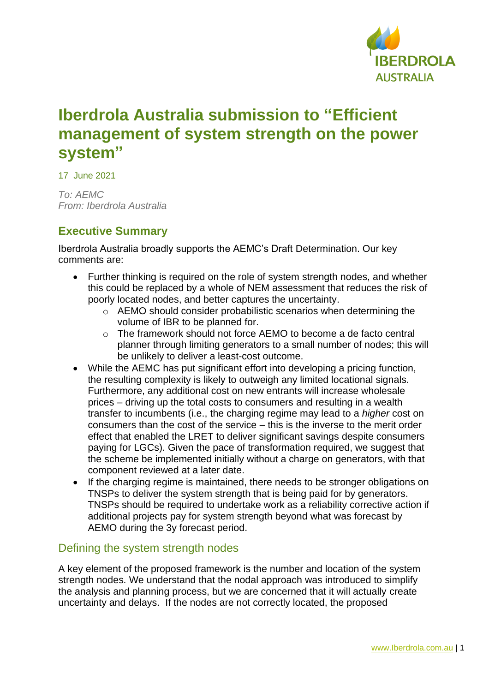

# **Iberdrola Australia submission to "Efficient management of system strength on the power system"**

17 June 2021

*To: AEMC From: Iberdrola Australia*

# **Executive Summary**

Iberdrola Australia broadly supports the AEMC's Draft Determination. Our key comments are:

- Further thinking is required on the role of system strength nodes, and whether this could be replaced by a whole of NEM assessment that reduces the risk of poorly located nodes, and better captures the uncertainty.
	- o AEMO should consider probabilistic scenarios when determining the volume of IBR to be planned for.
	- $\circ$  The framework should not force AEMO to become a de facto central planner through limiting generators to a small number of nodes; this will be unlikely to deliver a least-cost outcome.
- While the AEMC has put significant effort into developing a pricing function, the resulting complexity is likely to outweigh any limited locational signals. Furthermore, any additional cost on new entrants will increase wholesale prices – driving up the total costs to consumers and resulting in a wealth transfer to incumbents (i.e., the charging regime may lead to a *higher* cost on consumers than the cost of the service – this is the inverse to the merit order effect that enabled the LRET to deliver significant savings despite consumers paying for LGCs). Given the pace of transformation required, we suggest that the scheme be implemented initially without a charge on generators, with that component reviewed at a later date.
- If the charging regime is maintained, there needs to be stronger obligations on TNSPs to deliver the system strength that is being paid for by generators. TNSPs should be required to undertake work as a reliability corrective action if additional projects pay for system strength beyond what was forecast by AEMO during the 3y forecast period.

# Defining the system strength nodes

A key element of the proposed framework is the number and location of the system strength nodes. We understand that the nodal approach was introduced to simplify the analysis and planning process, but we are concerned that it will actually create uncertainty and delays. If the nodes are not correctly located, the proposed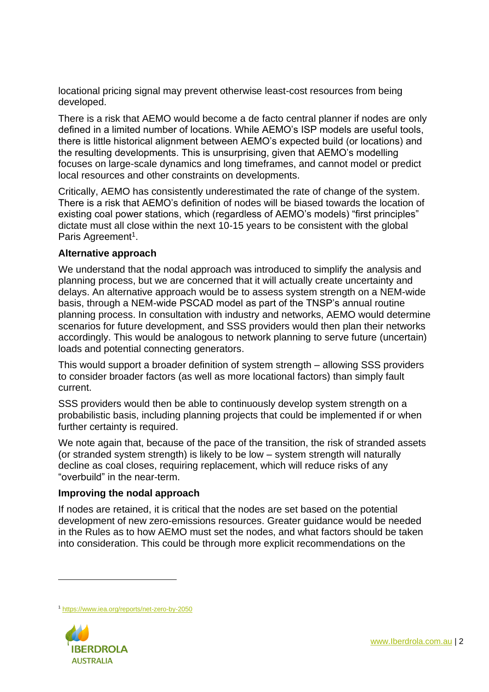locational pricing signal may prevent otherwise least-cost resources from being developed.

There is a risk that AEMO would become a de facto central planner if nodes are only defined in a limited number of locations. While AEMO's ISP models are useful tools, there is little historical alignment between AEMO's expected build (or locations) and the resulting developments. This is unsurprising, given that AEMO's modelling focuses on large-scale dynamics and long timeframes, and cannot model or predict local resources and other constraints on developments.

Critically, AEMO has consistently underestimated the rate of change of the system. There is a risk that AEMO's definition of nodes will be biased towards the location of existing coal power stations, which (regardless of AEMO's models) "first principles" dictate must all close within the next 10-15 years to be consistent with the global Paris Agreement<sup>1</sup>.

### **Alternative approach**

We understand that the nodal approach was introduced to simplify the analysis and planning process, but we are concerned that it will actually create uncertainty and delays. An alternative approach would be to assess system strength on a NEM-wide basis, through a NEM-wide PSCAD model as part of the TNSP's annual routine planning process. In consultation with industry and networks, AEMO would determine scenarios for future development, and SSS providers would then plan their networks accordingly. This would be analogous to network planning to serve future (uncertain) loads and potential connecting generators.

This would support a broader definition of system strength – allowing SSS providers to consider broader factors (as well as more locational factors) than simply fault current.

SSS providers would then be able to continuously develop system strength on a probabilistic basis, including planning projects that could be implemented if or when further certainty is required.

We note again that, because of the pace of the transition, the risk of stranded assets (or stranded system strength) is likely to be low – system strength will naturally decline as coal closes, requiring replacement, which will reduce risks of any "overbuild" in the near-term.

### **Improving the nodal approach**

If nodes are retained, it is critical that the nodes are set based on the potential development of new zero-emissions resources. Greater guidance would be needed in the Rules as to how AEMO must set the nodes, and what factors should be taken into consideration. This could be through more explicit recommendations on the

<sup>1</sup> <https://www.iea.org/reports/net-zero-by-2050>

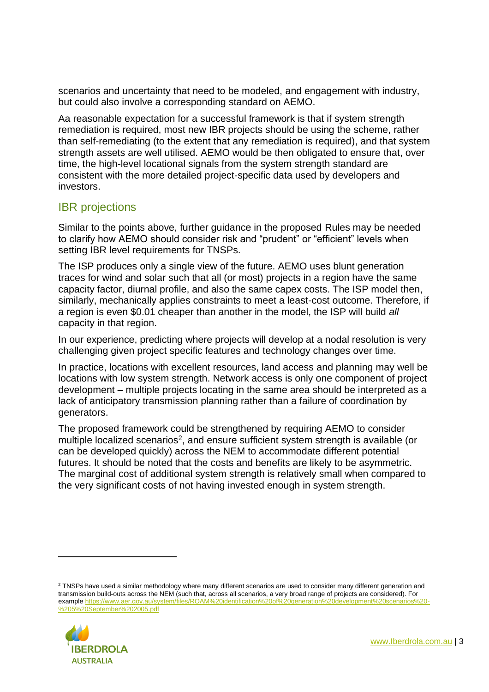scenarios and uncertainty that need to be modeled, and engagement with industry, but could also involve a corresponding standard on AEMO.

Aa reasonable expectation for a successful framework is that if system strength remediation is required, most new IBR projects should be using the scheme, rather than self-remediating (to the extent that any remediation is required), and that system strength assets are well utilised. AEMO would be then obligated to ensure that, over time, the high-level locational signals from the system strength standard are consistent with the more detailed project-specific data used by developers and investors.

# IBR projections

Similar to the points above, further guidance in the proposed Rules may be needed to clarify how AEMO should consider risk and "prudent" or "efficient" levels when setting IBR level requirements for TNSPs.

The ISP produces only a single view of the future. AEMO uses blunt generation traces for wind and solar such that all (or most) projects in a region have the same capacity factor, diurnal profile, and also the same capex costs. The ISP model then, similarly, mechanically applies constraints to meet a least-cost outcome. Therefore, if a region is even \$0.01 cheaper than another in the model, the ISP will build *all* capacity in that region.

In our experience, predicting where projects will develop at a nodal resolution is very challenging given project specific features and technology changes over time.

In practice, locations with excellent resources, land access and planning may well be locations with low system strength. Network access is only one component of project development – multiple projects locating in the same area should be interpreted as a lack of anticipatory transmission planning rather than a failure of coordination by generators.

The proposed framework could be strengthened by requiring AEMO to consider multiple localized scenarios<sup>2</sup>, and ensure sufficient system strength is available (or can be developed quickly) across the NEM to accommodate different potential futures. It should be noted that the costs and benefits are likely to be asymmetric. The marginal cost of additional system strength is relatively small when compared to the very significant costs of not having invested enough in system strength.

<sup>&</sup>lt;sup>2</sup> TNSPs have used a similar methodology where many different scenarios are used to consider many different generation and transmission build-outs across the NEM (such that, across all scenarios, a very broad range of projects are considered). For exampl[e https://www.aer.gov.au/system/files/ROAM%20identification%20of%20generation%20development%20scenarios%20-](https://www.aer.gov.au/system/files/ROAM%20identification%20of%20generation%20development%20scenarios%20-%205%20September%202005.pdf) [%205%20September%202005.pdf](https://www.aer.gov.au/system/files/ROAM%20identification%20of%20generation%20development%20scenarios%20-%205%20September%202005.pdf)

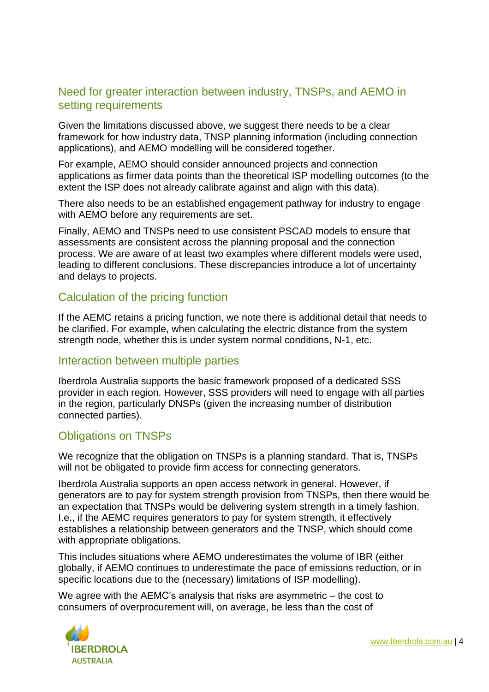# Need for greater interaction between industry, TNSPs, and AEMO in setting requirements

Given the limitations discussed above, we suggest there needs to be a clear framework for how industry data, TNSP planning information (including connection applications), and AEMO modelling will be considered together.

For example, AEMO should consider announced projects and connection applications as firmer data points than the theoretical ISP modelling outcomes (to the extent the ISP does not already calibrate against and align with this data).

There also needs to be an established engagement pathway for industry to engage with AEMO before any requirements are set.

Finally, AEMO and TNSPs need to use consistent PSCAD models to ensure that assessments are consistent across the planning proposal and the connection process. We are aware of at least two examples where different models were used, leading to different conclusions. These discrepancies introduce a lot of uncertainty and delays to projects.

## Calculation of the pricing function

If the AEMC retains a pricing function, we note there is additional detail that needs to be clarified. For example, when calculating the electric distance from the system strength node, whether this is under system normal conditions, N-1, etc.

### Interaction between multiple parties

Iberdrola Australia supports the basic framework proposed of a dedicated SSS provider in each region. However, SSS providers will need to engage with all parties in the region, particularly DNSPs (given the increasing number of distribution connected parties).

# Obligations on TNSPs

We recognize that the obligation on TNSPs is a planning standard. That is, TNSPs will not be obligated to provide firm access for connecting generators.

Iberdrola Australia supports an open access network in general. However, if generators are to pay for system strength provision from TNSPs, then there would be an expectation that TNSPs would be delivering system strength in a timely fashion. I.e., if the AEMC requires generators to pay for system strength, it effectively establishes a relationship between generators and the TNSP, which should come with appropriate obligations.

This includes situations where AEMO underestimates the volume of IBR (either globally, if AEMO continues to underestimate the pace of emissions reduction, or in specific locations due to the (necessary) limitations of ISP modelling).

We agree with the AEMC's analysis that risks are asymmetric – the cost to consumers of overprocurement will, on average, be less than the cost of



[www.Iberdrola.com.au](http://www.iberdrola.com.au/) | 4